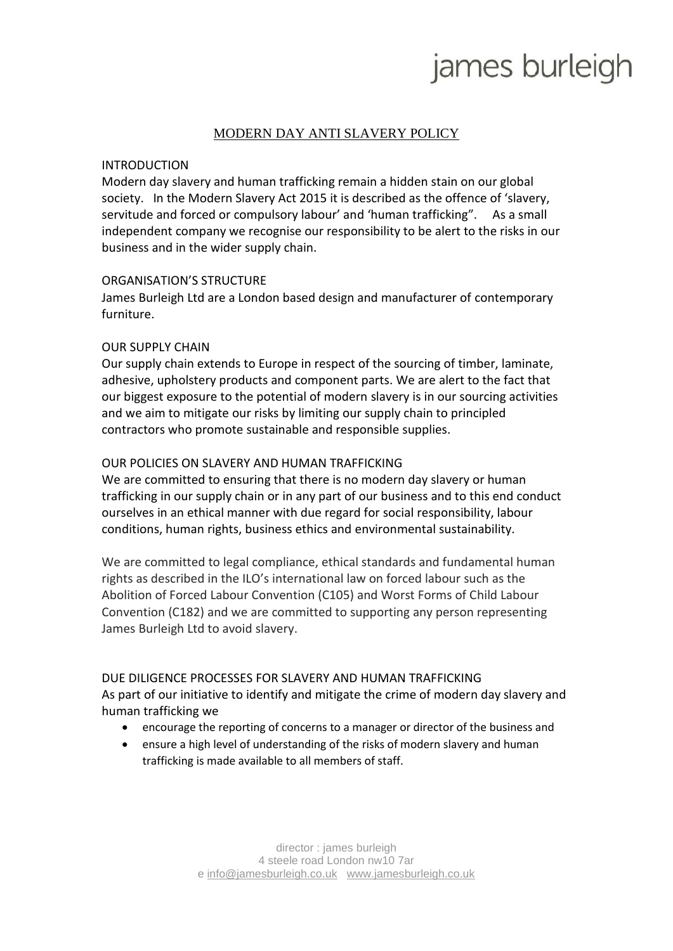# james burleigh

# MODERN DAY ANTI SLAVERY POLICY

#### INTRODUCTION

Modern day slavery and human trafficking remain a hidden stain on our global society. In the Modern Slavery Act 2015 it is described as the offence of 'slavery, servitude and forced or compulsory labour' and 'human trafficking". As a small independent company we recognise our responsibility to be alert to the risks in our business and in the wider supply chain.

#### ORGANISATION'S STRUCTURE

James Burleigh Ltd are a London based design and manufacturer of contemporary furniture.

#### OUR SUPPLY CHAIN

Our supply chain extends to Europe in respect of the sourcing of timber, laminate, adhesive, upholstery products and component parts. We are alert to the fact that our biggest exposure to the potential of modern slavery is in our sourcing activities and we aim to mitigate our risks by limiting our supply chain to principled contractors who promote sustainable and responsible supplies.

### OUR POLICIES ON SLAVERY AND HUMAN TRAFFICKING

We are committed to ensuring that there is no modern day slavery or human trafficking in our supply chain or in any part of our business and to this end conduct ourselves in an ethical manner with due regard for social responsibility, labour conditions, human rights, business ethics and environmental sustainability.

We are committed to legal compliance, ethical standards and fundamental human rights as described in the ILO's international law on forced labour such as the Abolition of Forced Labour Convention (C105) and Worst Forms of Child Labour Convention (C182) and we are committed to supporting any person representing James Burleigh Ltd to avoid slavery.

#### DUE DILIGENCE PROCESSES FOR SLAVERY AND HUMAN TRAFFICKING

As part of our initiative to identify and mitigate the crime of modern day slavery and human trafficking we

- encourage the reporting of concerns to a manager or director of the business and
- ensure a high level of understanding of the risks of modern slavery and human trafficking is made available to all members of staff.